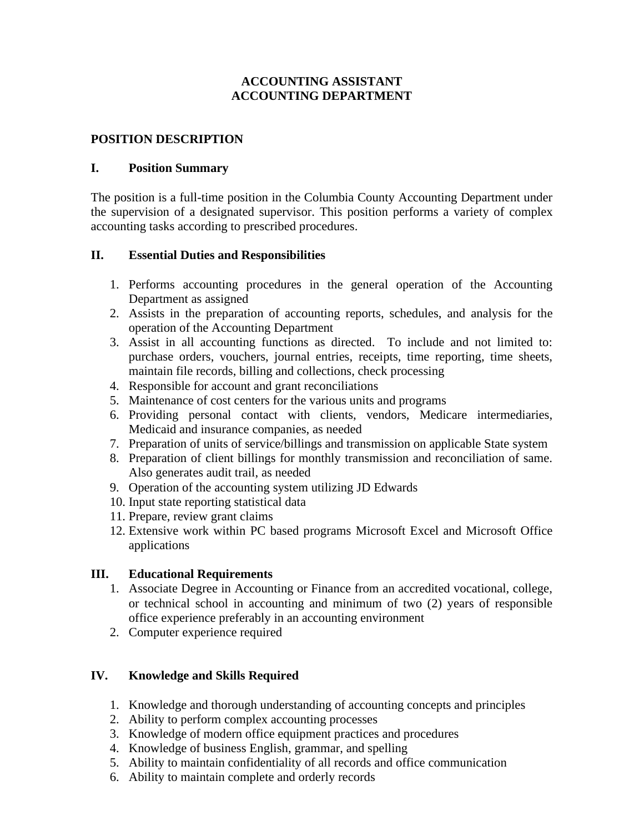# **ACCOUNTING ASSISTANT ACCOUNTING DEPARTMENT**

### **POSITION DESCRIPTION**

#### **I. Position Summary**

The position is a full-time position in the Columbia County Accounting Department under the supervision of a designated supervisor. This position performs a variety of complex accounting tasks according to prescribed procedures.

#### **II. Essential Duties and Responsibilities**

- 1. Performs accounting procedures in the general operation of the Accounting Department as assigned
- 2. Assists in the preparation of accounting reports, schedules, and analysis for the operation of the Accounting Department
- 3. Assist in all accounting functions as directed. To include and not limited to: purchase orders, vouchers, journal entries, receipts, time reporting, time sheets, maintain file records, billing and collections, check processing
- 4. Responsible for account and grant reconciliations
- 5. Maintenance of cost centers for the various units and programs
- 6. Providing personal contact with clients, vendors, Medicare intermediaries, Medicaid and insurance companies, as needed
- 7. Preparation of units of service/billings and transmission on applicable State system
- 8. Preparation of client billings for monthly transmission and reconciliation of same. Also generates audit trail, as needed
- 9. Operation of the accounting system utilizing JD Edwards
- 10. Input state reporting statistical data
- 11. Prepare, review grant claims
- 12. Extensive work within PC based programs Microsoft Excel and Microsoft Office applications

#### **III. Educational Requirements**

- 1. Associate Degree in Accounting or Finance from an accredited vocational, college, or technical school in accounting and minimum of two (2) years of responsible office experience preferably in an accounting environment
- 2. Computer experience required

# **IV. Knowledge and Skills Required**

- 1. Knowledge and thorough understanding of accounting concepts and principles
- 2. Ability to perform complex accounting processes
- 3. Knowledge of modern office equipment practices and procedures
- 4. Knowledge of business English, grammar, and spelling
- 5. Ability to maintain confidentiality of all records and office communication
- 6. Ability to maintain complete and orderly records